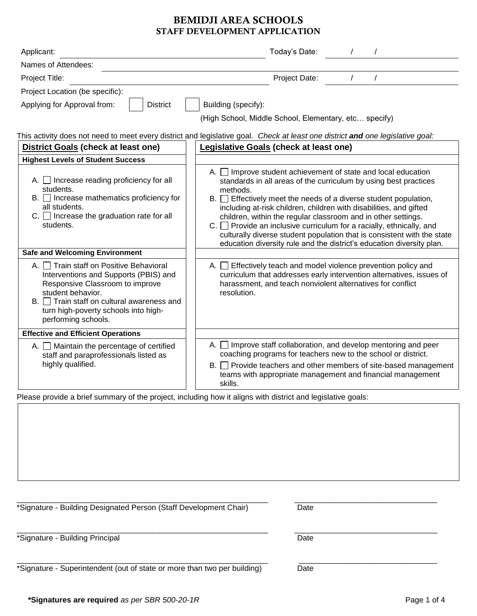# BEMIDJI AREA SCHOOLS STAFF DEVELOPMENT APPLICATION

| Applicant:                                                                                                                                                                                                                                                                                                                                                                                                                                                                   | Today's Date:                                                                                                                                                                                                                                                                                                                                                                                                                                                                                                                                                                                                                                                                                                                                                                                                   |  |  |  |  |  |
|------------------------------------------------------------------------------------------------------------------------------------------------------------------------------------------------------------------------------------------------------------------------------------------------------------------------------------------------------------------------------------------------------------------------------------------------------------------------------|-----------------------------------------------------------------------------------------------------------------------------------------------------------------------------------------------------------------------------------------------------------------------------------------------------------------------------------------------------------------------------------------------------------------------------------------------------------------------------------------------------------------------------------------------------------------------------------------------------------------------------------------------------------------------------------------------------------------------------------------------------------------------------------------------------------------|--|--|--|--|--|
| Names of Attendees:                                                                                                                                                                                                                                                                                                                                                                                                                                                          |                                                                                                                                                                                                                                                                                                                                                                                                                                                                                                                                                                                                                                                                                                                                                                                                                 |  |  |  |  |  |
| Project Title:                                                                                                                                                                                                                                                                                                                                                                                                                                                               | Project Date:                                                                                                                                                                                                                                                                                                                                                                                                                                                                                                                                                                                                                                                                                                                                                                                                   |  |  |  |  |  |
| Project Location (be specific):                                                                                                                                                                                                                                                                                                                                                                                                                                              |                                                                                                                                                                                                                                                                                                                                                                                                                                                                                                                                                                                                                                                                                                                                                                                                                 |  |  |  |  |  |
| Applying for Approval from:<br><b>District</b>                                                                                                                                                                                                                                                                                                                                                                                                                               | Building (specify):                                                                                                                                                                                                                                                                                                                                                                                                                                                                                                                                                                                                                                                                                                                                                                                             |  |  |  |  |  |
|                                                                                                                                                                                                                                                                                                                                                                                                                                                                              | (High School, Middle School, Elementary, etc specify)                                                                                                                                                                                                                                                                                                                                                                                                                                                                                                                                                                                                                                                                                                                                                           |  |  |  |  |  |
|                                                                                                                                                                                                                                                                                                                                                                                                                                                                              | This activity does not need to meet every district and legislative goal. Check at least one district and one legislative goal:                                                                                                                                                                                                                                                                                                                                                                                                                                                                                                                                                                                                                                                                                  |  |  |  |  |  |
| <b>District Goals (check at least one)</b>                                                                                                                                                                                                                                                                                                                                                                                                                                   | <b>Legislative Goals (check at least one)</b>                                                                                                                                                                                                                                                                                                                                                                                                                                                                                                                                                                                                                                                                                                                                                                   |  |  |  |  |  |
| <b>Highest Levels of Student Success</b>                                                                                                                                                                                                                                                                                                                                                                                                                                     |                                                                                                                                                                                                                                                                                                                                                                                                                                                                                                                                                                                                                                                                                                                                                                                                                 |  |  |  |  |  |
| $A.$ Increase reading proficiency for all<br>students.<br>$B.$ Increase mathematics proficiency for<br>all students.<br>$C.$ Increase the graduation rate for all<br>students.<br><b>Safe and Welcoming Environment</b><br>A. Train staff on Positive Behavioral<br>Interventions and Supports (PBIS) and<br>Responsive Classroom to improve<br>student behavior.<br>B. Train staff on cultural awareness and<br>turn high-poverty schools into high-<br>performing schools. | A. Improve student achievement of state and local education<br>standards in all areas of the curriculum by using best practices<br>methods.<br>$B.$ Effectively meet the needs of a diverse student population,<br>including at-risk children, children with disabilities, and gifted<br>children, within the regular classroom and in other settings.<br>$C.$ Provide an inclusive curriculum for a racially, ethnically, and<br>culturally diverse student population that is consistent with the state<br>education diversity rule and the district's education diversity plan.<br>A. $\Box$ Effectively teach and model violence prevention policy and<br>curriculum that addresses early intervention alternatives, issues of<br>harassment, and teach nonviolent alternatives for conflict<br>resolution. |  |  |  |  |  |
| <b>Effective and Efficient Operations</b>                                                                                                                                                                                                                                                                                                                                                                                                                                    |                                                                                                                                                                                                                                                                                                                                                                                                                                                                                                                                                                                                                                                                                                                                                                                                                 |  |  |  |  |  |
| A. Maintain the percentage of certified<br>staff and paraprofessionals listed as                                                                                                                                                                                                                                                                                                                                                                                             | A. $\Box$ Improve staff collaboration, and develop mentoring and peer<br>coaching programs for teachers new to the school or district.                                                                                                                                                                                                                                                                                                                                                                                                                                                                                                                                                                                                                                                                          |  |  |  |  |  |
| highly qualified.                                                                                                                                                                                                                                                                                                                                                                                                                                                            | $B.$ Provide teachers and other members of site-based management<br>teams with appropriate management and financial management<br>skills.                                                                                                                                                                                                                                                                                                                                                                                                                                                                                                                                                                                                                                                                       |  |  |  |  |  |
|                                                                                                                                                                                                                                                                                                                                                                                                                                                                              | Please provide a brief summary of the project, including how it aligns with district and legislative goals:                                                                                                                                                                                                                                                                                                                                                                                                                                                                                                                                                                                                                                                                                                     |  |  |  |  |  |

\_\_\_\_\_\_\_\_\_\_\_\_\_\_\_\_\_\_\_\_\_\_\_\_\_\_\_\_\_\_\_\_\_\_\_\_\_\_\_\_\_\_\_\_\_\_\_\_\_\_\_\_\_\_\_\_\_\_ \_\_\_\_\_\_\_\_\_\_\_\_\_\_\_\_\_\_\_\_\_\_\_\_\_\_\_\_\_\_\_\_\_

\*Signature - Building Designated Person (Staff Development Chair) Date

\_\_\_\_\_\_\_\_\_\_\_\_\_\_\_\_\_\_\_\_\_\_\_\_\_\_\_\_\_\_\_\_\_\_\_\_\_\_\_\_\_\_\_\_\_\_\_\_\_\_\_\_\_\_\_\_\_\_ \_\_\_\_\_\_\_\_\_\_\_\_\_\_\_\_\_\_\_\_\_\_\_\_\_\_\_\_\_\_\_\_\_ \*Signature - Building Principal Date

\_\_\_\_\_\_\_\_\_\_\_\_\_\_\_\_\_\_\_\_\_\_\_\_\_\_\_\_\_\_\_\_\_\_\_\_\_\_\_\_\_\_\_\_\_\_\_\_\_\_\_\_\_\_\_\_\_\_ \_\_\_\_\_\_\_\_\_\_\_\_\_\_\_\_\_\_\_\_\_\_\_\_\_\_\_\_\_\_\_\_ \*Signature - Superintendent (out of state or more than two per building) Date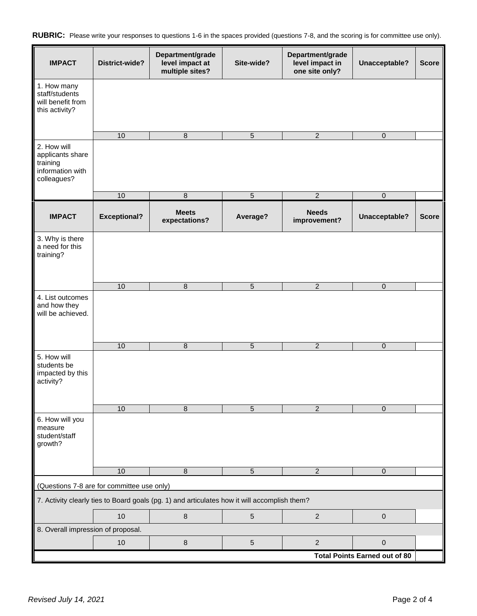|  |  |  |  |  |  |  | RUBRIC: Please write your responses to questions 1-6 in the spaces provided (questions 7-8, and the scoring is for committee use only). |  |
|--|--|--|--|--|--|--|-----------------------------------------------------------------------------------------------------------------------------------------|--|
|--|--|--|--|--|--|--|-----------------------------------------------------------------------------------------------------------------------------------------|--|

| <b>IMPACT</b>                                                                  | District-wide?                             | Department/grade<br>level impact at<br>multiple sites?                                       | Site-wide?      | Department/grade<br>level impact in<br>one site only? | Unacceptable?                        | <b>Score</b> |
|--------------------------------------------------------------------------------|--------------------------------------------|----------------------------------------------------------------------------------------------|-----------------|-------------------------------------------------------|--------------------------------------|--------------|
| 1. How many<br>staff/students<br>will benefit from<br>this activity?           |                                            |                                                                                              |                 |                                                       |                                      |              |
|                                                                                | 10                                         | $\,8\,$                                                                                      | 5               | $\overline{2}$                                        | $\mathsf{O}\xspace$                  |              |
| 2. How will<br>applicants share<br>training<br>information with<br>colleagues? |                                            |                                                                                              |                 |                                                       |                                      |              |
|                                                                                | 10                                         | $\,8\,$                                                                                      | $\overline{5}$  | $\overline{2}$                                        | $\pmb{0}$                            |              |
| <b>IMPACT</b>                                                                  | <b>Exceptional?</b>                        | <b>Meets</b><br>expectations?                                                                | Average?        | <b>Needs</b><br>improvement?                          | Unacceptable?                        | <b>Score</b> |
| 3. Why is there<br>a need for this<br>training?                                |                                            |                                                                                              |                 |                                                       |                                      |              |
|                                                                                | 10                                         | $\,8\,$                                                                                      | 5               | $\overline{2}$                                        | $\mathbf 0$                          |              |
| 4. List outcomes<br>and how they<br>will be achieved.                          |                                            |                                                                                              |                 |                                                       |                                      |              |
|                                                                                | 10                                         | $\,8\,$                                                                                      | $\sqrt{5}$      | $\overline{2}$                                        | $\mathsf{O}\xspace$                  |              |
| 5. How will<br>students be<br>impacted by this<br>activity?                    |                                            |                                                                                              |                 |                                                       |                                      |              |
|                                                                                | 10                                         | 8                                                                                            | 5               | 2                                                     | $\Omega$                             |              |
| 6. How will you<br>measure<br>student/staff<br>growth?                         |                                            |                                                                                              |                 |                                                       |                                      |              |
|                                                                                | 10                                         | $\,8\,$                                                                                      | $5\phantom{.0}$ | $\overline{2}$                                        | $\mathsf{O}\xspace$                  |              |
|                                                                                | (Questions 7-8 are for committee use only) |                                                                                              |                 |                                                       |                                      |              |
|                                                                                |                                            | 7. Activity clearly ties to Board goals (pg. 1) and articulates how it will accomplish them? |                 |                                                       |                                      |              |
|                                                                                | 10                                         | $\bf 8$                                                                                      | $\sqrt{5}$      | $\overline{2}$                                        | $\mathbf 0$                          |              |
| 8. Overall impression of proposal.                                             |                                            |                                                                                              |                 |                                                       |                                      |              |
|                                                                                | 10                                         | $\bf 8$                                                                                      | 5               | $\overline{2}$                                        | $\mathbf 0$                          |              |
|                                                                                |                                            |                                                                                              |                 |                                                       | <b>Total Points Earned out of 80</b> |              |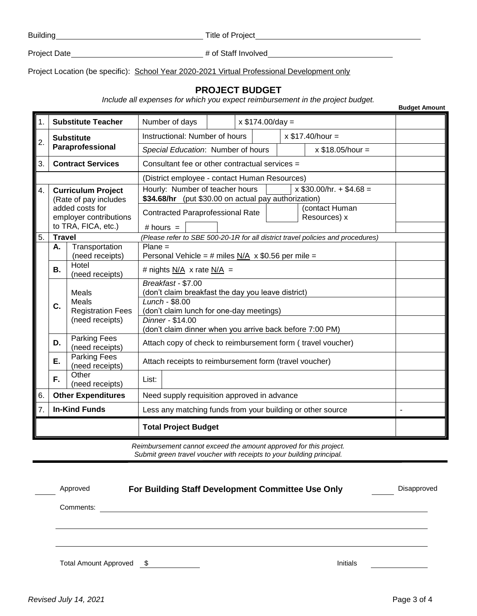Building **No. 2018** Title of Project **Title of Project** 

Project Date # of Staff Involved

Project Location (be specific): School Year 2020-2021 Virtual Professional Development only

## **PROJECT BUDGET**

*Include all expenses for which you expect reimbursement in the project budget.*

| 1.               |                                                                                                                        | <b>Substitute Teacher</b>                                     | Number of days                                                                                                                                                                                                                                                                                                                                  | $x $174.00/day =$ |  |  |  |                                                                                 |  |
|------------------|------------------------------------------------------------------------------------------------------------------------|---------------------------------------------------------------|-------------------------------------------------------------------------------------------------------------------------------------------------------------------------------------------------------------------------------------------------------------------------------------------------------------------------------------------------|-------------------|--|--|--|---------------------------------------------------------------------------------|--|
|                  | <b>Substitute</b><br>$\overline{2}$ .<br>Paraprofessional                                                              |                                                               | Instructional: Number of hours                                                                                                                                                                                                                                                                                                                  |                   |  |  |  | $x$ \$17.40/hour =                                                              |  |
|                  |                                                                                                                        |                                                               | Special Education: Number of hours                                                                                                                                                                                                                                                                                                              |                   |  |  |  | $x$ \$18.05/hour =                                                              |  |
| 3.               |                                                                                                                        | <b>Contract Services</b>                                      | Consultant fee or other contractual services =                                                                                                                                                                                                                                                                                                  |                   |  |  |  |                                                                                 |  |
|                  |                                                                                                                        |                                                               | (District employee - contact Human Resources)                                                                                                                                                                                                                                                                                                   |                   |  |  |  |                                                                                 |  |
| 4.               | <b>Curriculum Project</b><br>(Rate of pay includes<br>added costs for<br>employer contributions<br>to TRA, FICA, etc.) |                                                               | Hourly: Number of teacher hours<br>$x$ \$30.00/hr. + \$4.68 =<br>\$34.68/hr (put \$30.00 on actual pay authorization)<br>(contact Human<br><b>Contracted Paraprofessional Rate</b><br>Resources) x<br># hours $=$                                                                                                                               |                   |  |  |  |                                                                                 |  |
| $\overline{5}$ . | <b>Travel</b>                                                                                                          |                                                               |                                                                                                                                                                                                                                                                                                                                                 |                   |  |  |  | (Please refer to SBE 500-20-1R for all district travel policies and procedures) |  |
|                  | Transportation<br>$Plane =$<br>Α.<br>(need receipts)<br>Personal Vehicle = # miles N/A $\times$ \$0.56 per mile =      |                                                               |                                                                                                                                                                                                                                                                                                                                                 |                   |  |  |  |                                                                                 |  |
|                  | <b>B.</b>                                                                                                              | Hotel<br>(need receipts)                                      | # nights $N/A$ x rate $N/A$ =                                                                                                                                                                                                                                                                                                                   |                   |  |  |  |                                                                                 |  |
|                  | C.                                                                                                                     | Meals<br>Meals<br><b>Registration Fees</b><br>(need receipts) | Breakfast - \$7.00<br>(don't claim breakfast the day you leave district)<br>Lunch - \$8.00<br>(don't claim lunch for one-day meetings)<br>Dinner - \$14.00<br>(don't claim dinner when you arrive back before 7:00 PM)<br>Attach copy of check to reimbursement form (travel voucher)<br>Attach receipts to reimbursement form (travel voucher) |                   |  |  |  |                                                                                 |  |
|                  | D.                                                                                                                     | <b>Parking Fees</b><br>(need receipts)                        |                                                                                                                                                                                                                                                                                                                                                 |                   |  |  |  |                                                                                 |  |
|                  | E.                                                                                                                     | <b>Parking Fees</b><br>(need receipts)                        |                                                                                                                                                                                                                                                                                                                                                 |                   |  |  |  |                                                                                 |  |
|                  | F.                                                                                                                     | Other<br>(need receipts)                                      | List:                                                                                                                                                                                                                                                                                                                                           |                   |  |  |  |                                                                                 |  |
| 6.               |                                                                                                                        | <b>Other Expenditures</b>                                     | Need supply requisition approved in advance                                                                                                                                                                                                                                                                                                     |                   |  |  |  |                                                                                 |  |
| $\overline{7}$ . |                                                                                                                        | <b>In-Kind Funds</b>                                          | Less any matching funds from your building or other source                                                                                                                                                                                                                                                                                      |                   |  |  |  |                                                                                 |  |
|                  |                                                                                                                        |                                                               | <b>Total Project Budget</b>                                                                                                                                                                                                                                                                                                                     |                   |  |  |  |                                                                                 |  |

*Reimbursement cannot exceed the amount approved for this project. Submit green travel voucher with receipts to your building principal.*

| Approved                 | For Building Staff Development Committee Use Only | Disapproved |
|--------------------------|---------------------------------------------------|-------------|
| Comments:                |                                                   |             |
|                          |                                                   |             |
|                          |                                                   |             |
| Total Amount Approved \$ |                                                   | Initials    |

**Budget Amount**